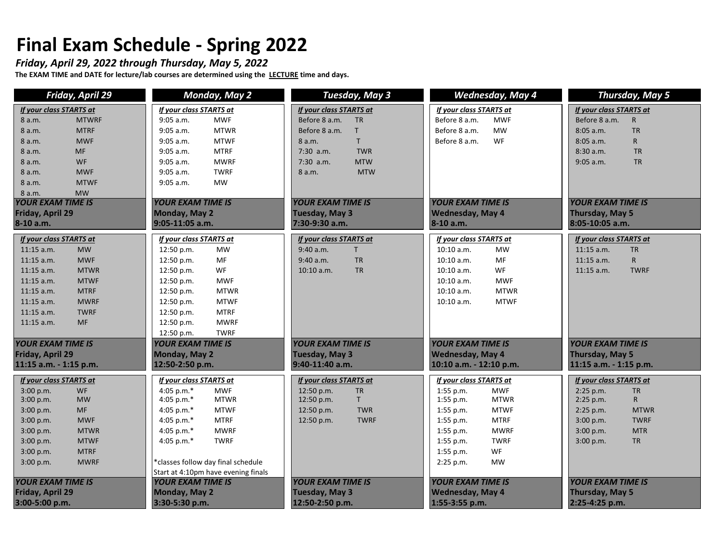## **Final Exam Schedule - Spring 2022**

## *Friday, April 29, 2022 through Thursday, May 5, 2022*

**The EXAM TIME and DATE for lecture/lab courses are determined using the LECTURE time and days.** 

| <b>Friday, April 29</b>                                                                                                                                                                                                                                                    | Monday, May 2                                                                                                                                                                                                                                                                                    | Tuesday, May 3                                                                                                                                                                           | <b>Wednesday, May 4</b>                                                                                                                                                                                                                                            | <b>Thursday, May 5</b>                                                                                                                                                                        |
|----------------------------------------------------------------------------------------------------------------------------------------------------------------------------------------------------------------------------------------------------------------------------|--------------------------------------------------------------------------------------------------------------------------------------------------------------------------------------------------------------------------------------------------------------------------------------------------|------------------------------------------------------------------------------------------------------------------------------------------------------------------------------------------|--------------------------------------------------------------------------------------------------------------------------------------------------------------------------------------------------------------------------------------------------------------------|-----------------------------------------------------------------------------------------------------------------------------------------------------------------------------------------------|
| If your class STARTS at<br><b>MTWRF</b><br>8 a.m.<br><b>MTRF</b><br>8 a.m.<br>8 a.m.<br><b>MWF</b><br>8 a.m.<br><b>MF</b><br><b>WF</b><br>8 a.m.<br>8 a.m.<br><b>MWF</b><br><b>MTWF</b><br>8 a.m.                                                                          | If your class STARTS at<br>9:05 a.m.<br><b>MWF</b><br>9:05 a.m.<br><b>MTWR</b><br>9:05 a.m.<br><b>MTWF</b><br>9:05 a.m.<br><b>MTRF</b><br>9:05 a.m.<br><b>MWRF</b><br>9:05 a.m.<br><b>TWRF</b><br>9:05 a.m.<br><b>MW</b>                                                                         | If your class STARTS at<br>Before 8 a.m.<br><b>TR</b><br>$\mathsf{T}$<br>Before 8 a.m.<br>8 a.m.<br>T.<br>$7:30$ a.m.<br><b>TWR</b><br>$7:30$ a.m.<br><b>MTW</b><br><b>MTW</b><br>8 a.m. | If your class STARTS at<br>Before 8 a.m.<br><b>MWF</b><br><b>MW</b><br>Before 8 a.m.<br><b>WF</b><br>Before 8 a.m.                                                                                                                                                 | If your class STARTS at<br>Before 8 a.m.<br>$\mathsf{R}$<br><b>TR</b><br>8:05 a.m.<br>8:05 a.m.<br>$\mathsf{R}$<br>8:30a.m.<br><b>TR</b><br>9:05 a.m.<br><b>TR</b>                            |
| <b>MW</b><br>8 a.m.<br><b>YOUR EXAM TIME IS</b><br>Friday, April 29<br>8-10 a.m.                                                                                                                                                                                           | <b>YOUR EXAM TIME IS</b><br>Monday, May 2<br>9:05-11:05 a.m.                                                                                                                                                                                                                                     | <b>YOUR EXAM TIME IS</b><br><b>Tuesday, May 3</b><br>7:30-9:30 a.m.                                                                                                                      | <b>YOUR EXAM TIME IS</b><br><b>Wednesday, May 4</b><br>8-10 a.m.                                                                                                                                                                                                   | <b>YOUR EXAM TIME IS</b><br>Thursday, May 5<br>8:05-10:05 a.m.                                                                                                                                |
| If your class STARTS at<br>$11:15$ a.m.<br><b>MW</b><br>$11:15$ a.m.<br><b>MWF</b><br>$11:15$ a.m.<br><b>MTWR</b><br><b>MTWF</b><br>$11:15$ a.m.<br>$11:15$ a.m.<br><b>MTRF</b><br>$11:15$ a.m.<br><b>MWRF</b><br>$11:15$ a.m.<br><b>TWRF</b><br><b>MF</b><br>$11:15$ a.m. | If your class STARTS at<br>12:50 p.m.<br><b>MW</b><br>MF<br>12:50 p.m.<br>WF<br>12:50 p.m.<br>12:50 p.m.<br><b>MWF</b><br>12:50 p.m.<br><b>MTWR</b><br><b>MTWF</b><br>12:50 p.m.<br>12:50 p.m.<br><b>MTRF</b><br>12:50 p.m.<br><b>MWRF</b><br>12:50 p.m.<br><b>TWRF</b>                          | If your class STARTS at<br>T.<br>9:40 a.m.<br><b>TR</b><br>9:40 a.m.<br><b>TR</b><br>10:10 a.m.                                                                                          | If your class STARTS at<br><b>MW</b><br>10:10 a.m.<br>MF<br>10:10 a.m.<br>WF<br>10:10 a.m.<br><b>MWF</b><br>10:10 a.m.<br>10:10 a.m.<br><b>MTWR</b><br>10:10 a.m.<br><b>MTWF</b>                                                                                   | If your class STARTS at<br>$11:15$ a.m.<br><b>TR</b><br>$\mathsf{R}$<br>$11:15$ a.m.<br>$11:15$ a.m.<br><b>TWRF</b>                                                                           |
| <b>YOUR EXAM TIME IS</b><br>Friday, April 29<br>11:15 a.m. - 1:15 p.m.                                                                                                                                                                                                     | <b>YOUR EXAM TIME IS</b><br>Monday, May 2<br>12:50-2:50 p.m.                                                                                                                                                                                                                                     | <b>YOUR EXAM TIME IS</b><br><b>Tuesday, May 3</b><br>9:40-11:40 a.m.                                                                                                                     | <b>YOUR EXAM TIME IS</b><br><b>Wednesday, May 4</b><br>10:10 a.m. - 12:10 p.m.                                                                                                                                                                                     | <b>YOUR EXAM TIME IS</b><br><b>Thursday, May 5</b><br>11:15 a.m. - 1:15 p.m.                                                                                                                  |
| If your class STARTS at<br>3:00 p.m.<br><b>WF</b><br>3:00 p.m.<br><b>MW</b><br><b>MF</b><br>3:00 p.m.<br>3:00 p.m.<br><b>MWF</b><br>3:00 p.m.<br><b>MTWR</b><br>3:00 p.m.<br><b>MTWF</b><br><b>MTRF</b><br>3:00 p.m.<br>3:00 p.m.<br><b>MWRF</b>                           | If your class STARTS at<br>4:05 p.m. $*$<br><b>MWF</b><br>4:05 p.m.*<br><b>MTWR</b><br><b>MTWF</b><br>4:05 p.m. $*$<br><b>MTRF</b><br>4:05 p.m. $*$<br>4:05 p.m. $*$<br><b>MWRF</b><br>4:05 p.m. $*$<br><b>TWRF</b><br>*classes follow day final schedule<br>Start at 4:10pm have evening finals | If your class STARTS at<br>12:50 p.m.<br><b>TR</b><br>12:50 p.m.<br>T.<br><b>TWR</b><br>12:50 p.m.<br><b>TWRF</b><br>12:50 p.m.                                                          | If your class STARTS at<br>$1:55$ p.m.<br><b>MWF</b><br>$1:55$ p.m.<br><b>MTWR</b><br><b>MTWF</b><br>$1:55$ p.m.<br><b>MTRF</b><br>$1:55$ p.m.<br><b>MWRF</b><br>$1:55$ p.m.<br>$1:55$ p.m.<br><b>TWRF</b><br><b>WF</b><br>$1:55$ p.m.<br>$2:25$ p.m.<br><b>MW</b> | If your class STARTS at<br>$2:25$ p.m.<br><b>TR</b><br>2:25 p.m.<br>$\mathsf{R}$<br>2:25 p.m.<br><b>MTWR</b><br><b>TWRF</b><br>3:00 p.m.<br>3:00 p.m.<br><b>MTR</b><br><b>TR</b><br>3:00 p.m. |
| <b>YOUR EXAM TIME IS</b><br><b>Friday, April 29</b><br>3:00-5:00 p.m.                                                                                                                                                                                                      | <b>YOUR EXAM TIME IS</b><br>Monday, May 2<br>3:30-5:30 p.m.                                                                                                                                                                                                                                      | <b>YOUR EXAM TIME IS</b><br><b>Tuesday, May 3</b><br>12:50-2:50 p.m.                                                                                                                     | <b>YOUR EXAM TIME IS</b><br><b>Wednesday, May 4</b><br>1:55-3:55 p.m.                                                                                                                                                                                              | <b>YOUR EXAM TIME IS</b><br>Thursday, May 5<br>2:25-4:25 p.m.                                                                                                                                 |